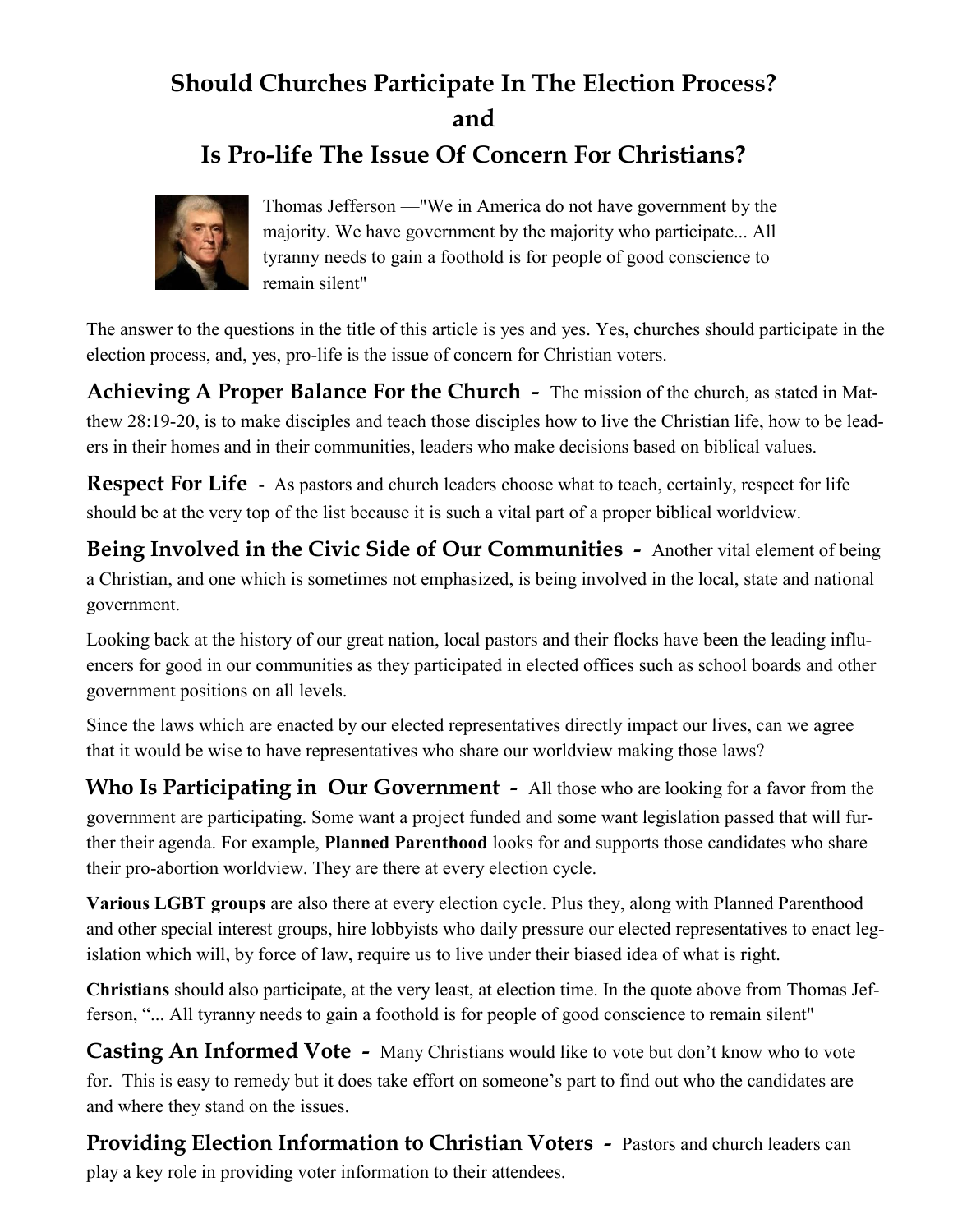## **Should Churches Participate In The Election Process? and**

## **Is Pro-life The Issue Of Concern For Christians?**



Thomas Jefferson —"We in America do not have government by the majority. We have government by the majority who participate... All tyranny needs to gain a foothold is for people of good conscience to remain silent"

The answer to the questions in the title of this article is yes and yes. Yes, churches should participate in the election process, and, yes, pro-life is the issue of concern for Christian voters.

**Achieving A Proper Balance For the Church -** The mission of the church, as stated in Matthew 28:19-20, is to make disciples and teach those disciples how to live the Christian life, how to be leaders in their homes and in their communities, leaders who make decisions based on biblical values.

**Respect For Life** - As pastors and church leaders choose what to teach, certainly, respect for life should be at the very top of the list because it is such a vital part of a proper biblical worldview.

**Being Involved in the Civic Side of Our Communities -** Another vital element of being a Christian, and one which is sometimes not emphasized, is being involved in the local, state and national government.

Looking back at the history of our great nation, local pastors and their flocks have been the leading influencers for good in our communities as they participated in elected offices such as school boards and other government positions on all levels.

Since the laws which are enacted by our elected representatives directly impact our lives, can we agree that it would be wise to have representatives who share our worldview making those laws?

**Who Is Participating in Our Government -** All those who are looking for a favor from the government are participating. Some want a project funded and some want legislation passed that will further their agenda. For example, **Planned Parenthood** looks for and supports those candidates who share their pro-abortion worldview. They are there at every election cycle.

**Various LGBT groups** are also there at every election cycle. Plus they, along with Planned Parenthood and other special interest groups, hire lobbyists who daily pressure our elected representatives to enact legislation which will, by force of law, require us to live under their biased idea of what is right.

**Christians** should also participate, at the very least, at election time. In the quote above from Thomas Jefferson, "... All tyranny needs to gain a foothold is for people of good conscience to remain silent"

**Casting An Informed Vote -** Many Christians would like to vote but don't know who to vote for. This is easy to remedy but it does take effort on someone's part to find out who the candidates are and where they stand on the issues.

**Providing Election Information to Christian Voters -** Pastors and church leaders can play a key role in providing voter information to their attendees.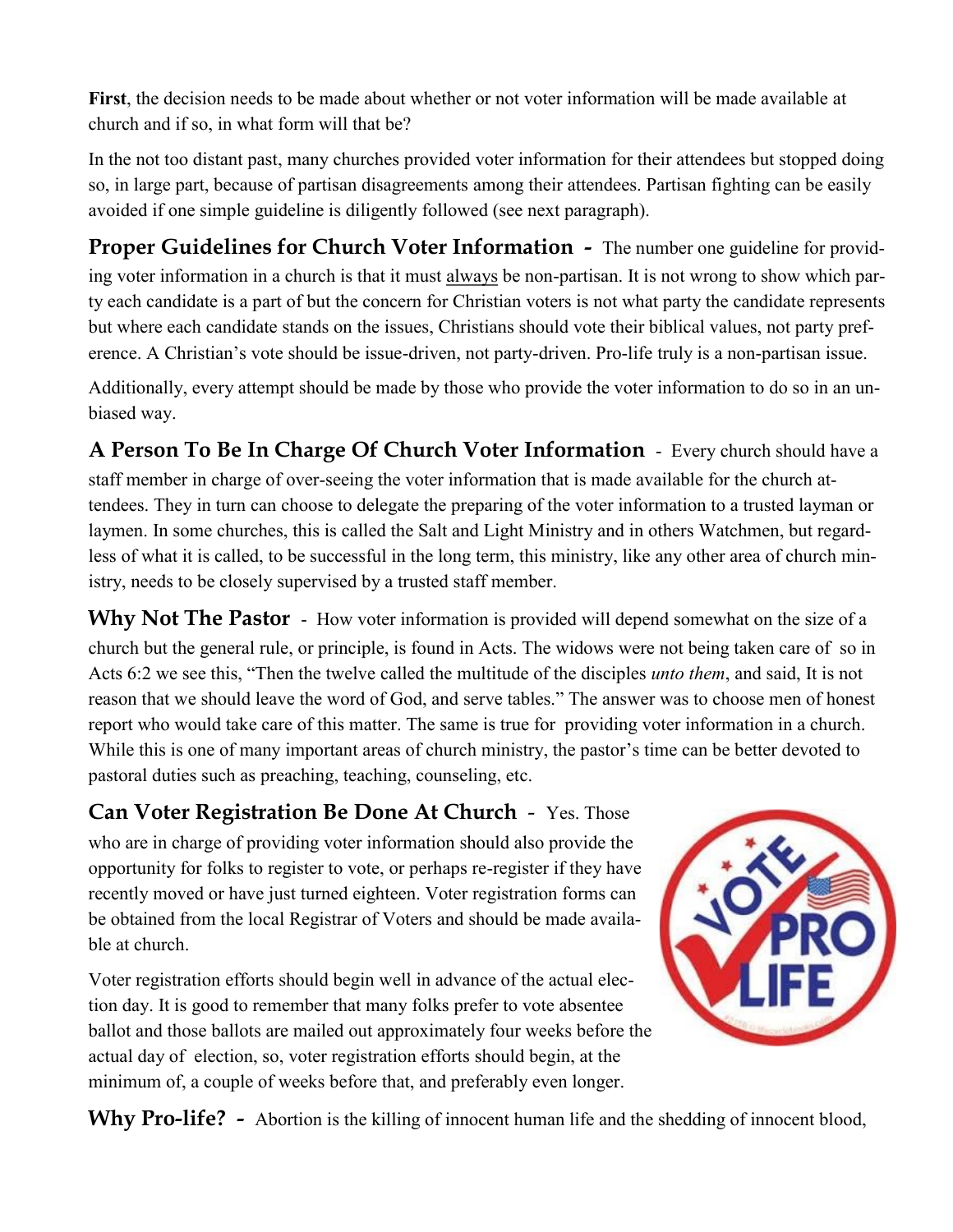**First**, the decision needs to be made about whether or not voter information will be made available at church and if so, in what form will that be?

In the not too distant past, many churches provided voter information for their attendees but stopped doing so, in large part, because of partisan disagreements among their attendees. Partisan fighting can be easily avoided if one simple guideline is diligently followed (see next paragraph).

**Proper Guidelines for Church Voter Information -** The number one guideline for providing voter information in a church is that it must always be non-partisan. It is not wrong to show which party each candidate is a part of but the concern for Christian voters is not what party the candidate represents but where each candidate stands on the issues, Christians should vote their biblical values, not party preference. A Christian's vote should be issue-driven, not party-driven. Pro-life truly is a non-partisan issue.

Additionally, every attempt should be made by those who provide the voter information to do so in an unbiased way.

**A Person To Be In Charge Of Church Voter Information** - Every church should have a staff member in charge of over-seeing the voter information that is made available for the church attendees. They in turn can choose to delegate the preparing of the voter information to a trusted layman or laymen. In some churches, this is called the Salt and Light Ministry and in others Watchmen, but regardless of what it is called, to be successful in the long term, this ministry, like any other area of church ministry, needs to be closely supervised by a trusted staff member.

Why Not The Pastor - How voter information is provided will depend somewhat on the size of a church but the general rule, or principle, is found in Acts. The widows were not being taken care of so in Acts 6:2 we see this, "Then the twelve called the multitude of the disciples *unto them*, and said, It is not reason that we should leave the word of God, and serve tables." The answer was to choose men of honest report who would take care of this matter. The same is true for providing voter information in a church. While this is one of many important areas of church ministry, the pastor's time can be better devoted to pastoral duties such as preaching, teaching, counseling, etc.

**Can Voter Registration Be Done At Church** - Yes. Those who are in charge of providing voter information should also provide the opportunity for folks to register to vote, or perhaps re-register if they have recently moved or have just turned eighteen. Voter registration forms can be obtained from the local Registrar of Voters and should be made available at church.

Voter registration efforts should begin well in advance of the actual election day. It is good to remember that many folks prefer to vote absentee ballot and those ballots are mailed out approximately four weeks before the actual day of election, so, voter registration efforts should begin, at the minimum of, a couple of weeks before that, and preferably even longer.



Why Pro-life? - Abortion is the killing of innocent human life and the shedding of innocent blood,